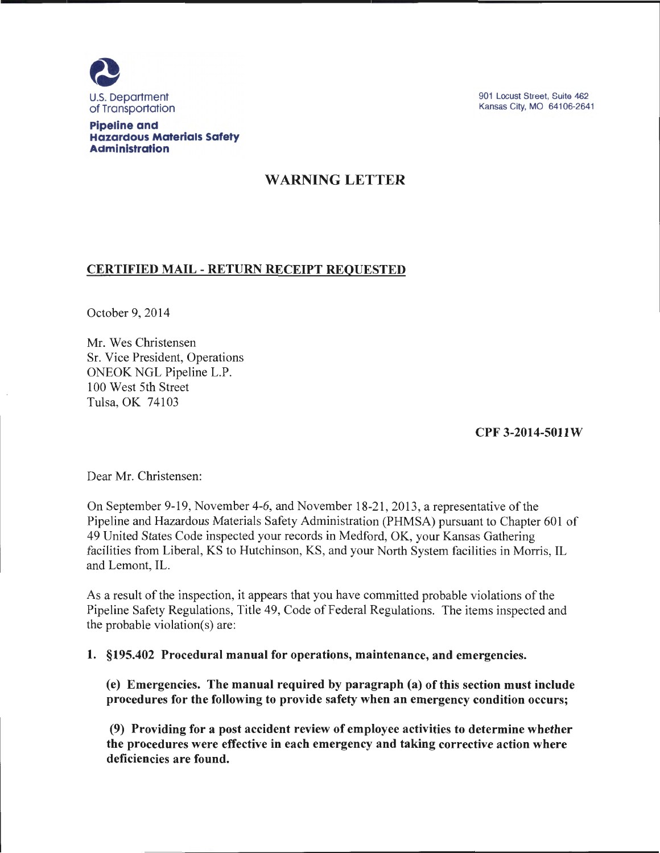

**Pipeline and Hazardous Materials Safety Administration** 

901 Locust Street, Suite 462 Kansas City, MO 64106-2641

# WARNING LETTER

## CERTIFIED MAIL - RETURN RECEIPT REQUESTED

October 9, 2014

Mr. Wes Christensen Sr. Vice President, Operations ONEOK NGL Pipeline L.P. 100 West 5th Street Tulsa, OK 74103

CPF 3-2014-5011 W

Dear Mr. Christensen:

On September 9-19, November 4-6, and November 18-21, 2013, a representative of the Pipeline and Hazardous Materials Safety Administration (PHMSA) pursuant to Chapter 601 of 49 United States Code inspected your records in Medford, OK, your Kansas Gathering facilities from Liberal, KS to Hutchinson, KS, and your North System facilities in Morris, IL and Lemont, IL.

As a result of the inspection, it appears that you have committed probable violations of the Pipeline Safety Regulations, Title 49, Code of Federal Regulations. The items inspected and the probable violation(s) are:

1. §195.402 Procedural manual for operations, maintenance, and emergencies.

(e) Emergencies. The manual required by paragraph (a) of this section must include procedures for the following to provide safety when an emergency condition occurs;

(9) Providing for a post accident review of employee activities to determine whether the procedures were effective in each emergency and taking corrective action where deficiencies are found.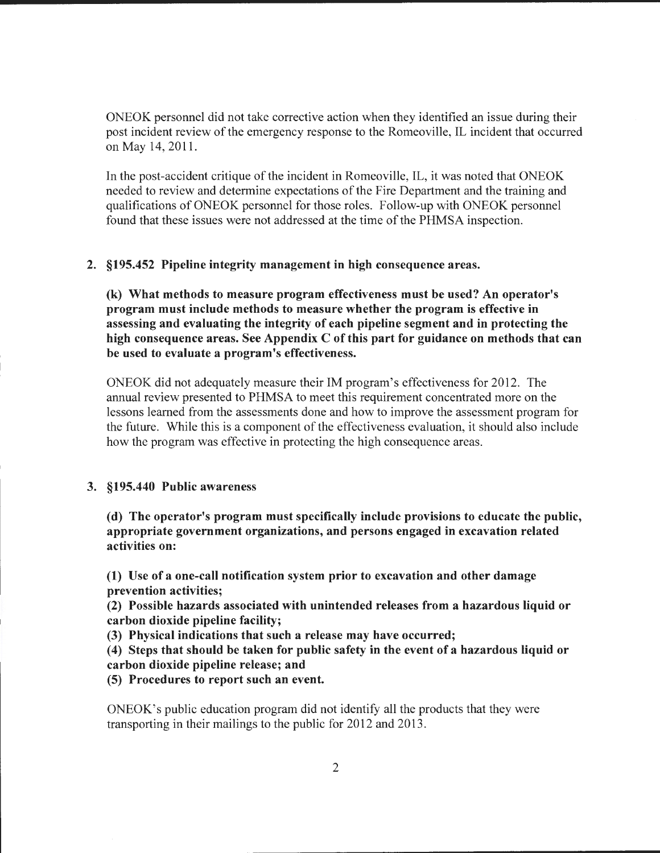ONEOK personnel did not take corrective action when they identified an issue during their post incident review of the emergency response to the Romeoville, IL incident that occurred on May 14, 2011.

In the post-accident critique of the incident in Romeoville, IL, it was noted that ONEOK needed to review and determine expectations of the Fire Department and the training and qualifications of ONEOK personnel for those roles. Follow-up with ONEOK personnel found that these issues were not addressed at the time of the PHMSA inspection.

#### 2. §195.452 Pipeline integrity management in high consequence areas.

(k) What methods to measure program effectiveness must be used? An operator's program must include methods to measure whether the program is effective in assessing and evaluating the integrity of each pipeline segment and in protecting the high consequence areas. See Appendix C of this part for guidance on methods that can be used to evaluate a program's effectiveness.

ONEOK did not adequately measure their IM program's effectiveness for 2012. The annual review presented to PHMSA to meet this requirement concentrated more on the lessons learned from the assessments done and how to improve the assessment program for the future. While this is a component of the effectiveness evaluation, it should also include how the program was effective in protecting the high consequence areas.

#### 3. §195.440 Public awareness

(d) The operator's program must specifically include provisions to educate the public, appropriate government organizations, and persons engaged in excavation related activities on:

(1) Use of a one-call notification system prior to excavation and other damage prevention activities;

(2) Possible hazards associated with unintended releases from a hazardous liquid or carbon dioxide pipeline facility;

(3) Physical indications that such a release may have occurred;

( 4) Steps that should be taken for public safety in the event of a hazardous liquid or carbon dioxide pipeline release; and

(5) Procedures to report such an event.

ONEOK's public education program did not identify all the products that they were transporting in their mailings to the public for 2012 and 2013.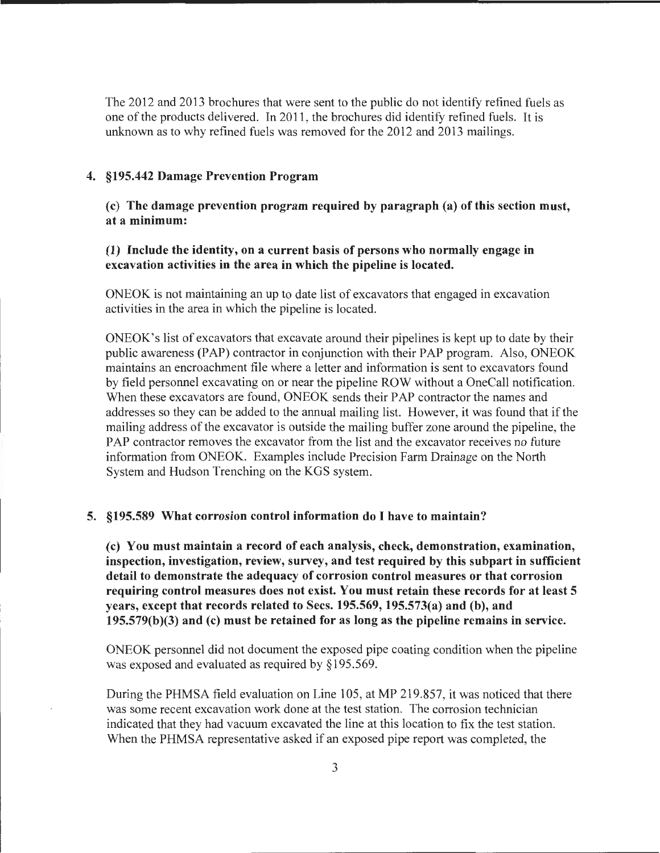The 2012 and 2013 brochures that were sent to the public do not identify refined fuels as one of the products delivered. In 2011, the brochures did identify refined fuels. It is unknown as to why refined fuels was removed for the 2012 and 2013 mailings.

#### 4. §195.442 Damage Prevention Program

(c) The damage prevention program required by paragraph (a) of this section must, at a minimum:

### (1) Include the identity, on a current basis of persons who normally engage in excavation activities in the area in which the pipeline is located.

ONEOK is not maintaining an up to date list of excavators that engaged in excavation activities in the area in which the pipeline is located.

ONEOK's list of excavators that excavate around their pipelines is kept up to date by their public awareness (PAP) contractor in conjunction with their PAP program. Also, ONEOK maintains an encroachment file where a letter and information is sent to excavators found by field personnel excavating on or near the pipeline ROW without a OneCall notification. When these excavators are found, ONEOK sends their PAP contractor the names and addresses so they can be added to the annual mailing list. However, it was found that if the mailing address of the excavator is outside the mailing buffer zone around the pipeline, the PAP contractor removes the excavator from the list and the excavator receives no future information from ONEOK. Examples include Precision Farm Drainage on the North System and Hudson Trenching on the KGS system.

#### 5. §195.589 What corrosion control information do I have to maintain?

(c) You must maintain a record of each analysis, check, demonstration, examination, inspection, investigation, review, survey, and test required by this subpart in sufficient detail to demonstrate the adequacy of corrosion control measures or that corrosion requiring control measures does not exist. You must retain these records for at least 5 years, except that records related to Sees. 195.569, 195.573(a) and (b), and 195.579(b)(3) and (c) must be retained for as long as the pipeline remains in service.

ONEOK personnel did not document the exposed pipe coating condition when the pipeline was exposed and evaluated as required by §195.569.

During the PHMSA field evaluation on Line 105, at MP 219.857, it was noticed that there was some recent excavation work done at the test station. The corrosion technician indicated that they had vacuum excavated the line at this location to fix the test station. When the PHMSA representative asked if an exposed pipe report was completed, the